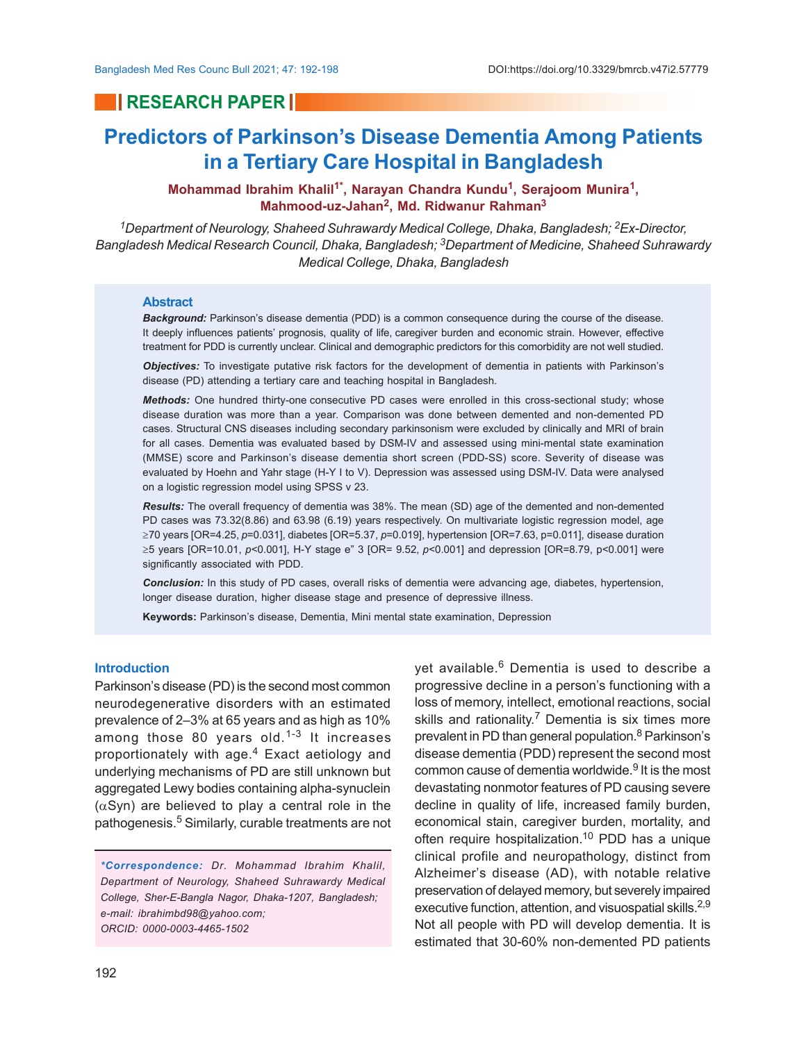## **RESEARCH PAPER**

# **Predictors of Parkinson's Disease Dementia Among Patients in a Tertiary Care Hospital in Bangladesh**

**Mohammad Ibrahim Khalil1\*, Narayan Chandra Kundu<sup>1</sup> , Serajoom Munira<sup>1</sup> , Mahmood-uz-Jahan<sup>2</sup> , Md. Ridwanur Rahman<sup>3</sup>**

*<sup>1</sup>Department of Neurology, Shaheed Suhrawardy Medical College, Dhaka, Bangladesh; 2Ex-Director, Bangladesh Medical Research Council, Dhaka, Bangladesh; 3Department of Medicine, Shaheed Suhrawardy Medical College, Dhaka, Bangladesh*

#### **Abstract**

*Background:* Parkinson's disease dementia (PDD) is a common consequence during the course of the disease. It deeply influences patients' prognosis, quality of life, caregiver burden and economic strain. However, effective treatment for PDD is currently unclear. Clinical and demographic predictors for this comorbidity are not well studied.

*Objectives:* To investigate putative risk factors for the development of dementia in patients with Parkinson's disease (PD) attending a tertiary care and teaching hospital in Bangladesh.

*Methods:* One hundred thirty-one consecutive PD cases were enrolled in this cross-sectional study; whose disease duration was more than a year. Comparison was done between demented and non-demented PD cases. Structural CNS diseases including secondary parkinsonism were excluded by clinically and MRI of brain for all cases. Dementia was evaluated based by DSM-IV and assessed using mini-mental state examination (MMSE) score and Parkinson's disease dementia short screen (PDD-SS) score. Severity of disease was evaluated by Hoehn and Yahr stage (H-Y I to V). Depression was assessed using DSM-IV. Data were analysed on a logistic regression model using SPSS v 23.

*Results:* The overall frequency of dementia was 38%. The mean (SD) age of the demented and non-demented PD cases was 73.32(8.86) and 63.98 (6.19) years respectively. On multivariate logistic regression model, age ³70 years [OR=4.25, *p*=0.031], diabetes [OR=5.37, *p*=0.019], hypertension [OR=7.63, p=0.011], disease duration ≥5 years [OR=10.01, *p*<0.001], H-Y stage e" 3 [OR= 9.52, *p*<0.001] and depression [OR=8.79, p<0.001] were significantly associated with PDD.

*Conclusion:* In this study of PD cases, overall risks of dementia were advancing age, diabetes, hypertension, longer disease duration, higher disease stage and presence of depressive illness.

**Keywords:** Parkinson's disease, Dementia, Mini mental state examination, Depression

#### **Introduction**

Parkinson's disease (PD) is the second most common neurodegenerative disorders with an estimated prevalence of 2–3% at 65 years and as high as 10% among those 80 years old. $1-3$  It increases proportionately with age.<sup>4</sup> Exact aetiology and underlying mechanisms of PD are still unknown but aggregated Lewy bodies containing alpha-synuclein  $(\alpha$ Syn) are believed to play a central role in the pathogenesis.<sup>5</sup> Similarly, curable treatments are not

*\*Correspondence: Dr. Mohammad Ibrahim Khalil, Department of Neurology, Shaheed Suhrawardy Medical College, Sher-E-Bangla Nagor, Dhaka-1207, Bangladesh; e-mail: ibrahimbd98@yahoo.com; ORCID: 0000-0003-4465-1502*

yet available.<sup>6</sup> Dementia is used to describe a progressive decline in a person's functioning with a loss of memory, intellect, emotional reactions, social skills and rationality.<sup>7</sup> Dementia is six times more prevalent in PD than general population.<sup>8</sup> Parkinson's disease dementia (PDD) represent the second most common cause of dementia worldwide.<sup>9</sup> It is the most devastating nonmotor features of PD causing severe decline in quality of life, increased family burden, economical stain, caregiver burden, mortality, and often require hospitalization.<sup>10</sup> PDD has a unique clinical profile and neuropathology, distinct from Alzheimer's disease (AD), with notable relative preservation of delayed memory, but severely impaired executive function, attention, and visuospatial skills.<sup>2,9</sup> Not all people with PD will develop dementia. It is estimated that 30-60% non-demented PD patients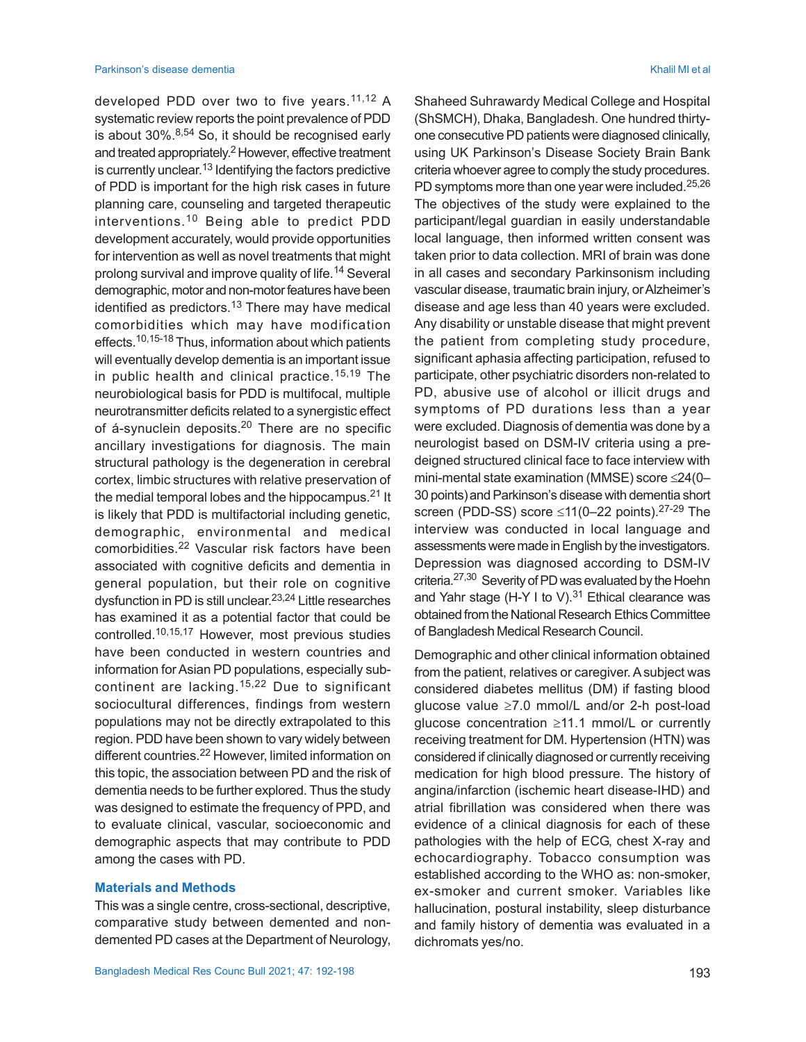developed PDD over two to five years.<sup>11,12</sup> A systematic review reports the point prevalence of PDD is about  $30\%$ .<sup>8,54</sup> So, it should be recognised early and treated appropriately.<sup>2</sup> However, effective treatment is currently unclear.<sup>13</sup> Identifying the factors predictive of PDD is important for the high risk cases in future planning care, counseling and targeted therapeutic interventions.10 Being able to predict PDD development accurately, would provide opportunities for intervention as well as novel treatments that might prolong survival and improve quality of life.<sup>14</sup> Several demographic, motor and non-motor features have been identified as predictors.<sup>13</sup> There may have medical comorbidities which may have modification effects.10,15-18 Thus, information about which patients will eventually develop dementia is an important issue in public health and clinical practice.15,19 The neurobiological basis for PDD is multifocal, multiple neurotransmitter deficits related to a synergistic effect of á-synuclein deposits.<sup>20</sup> There are no specific ancillary investigations for diagnosis. The main structural pathology is the degeneration in cerebral cortex, limbic structures with relative preservation of the medial temporal lobes and the hippocampus. $21$  It is likely that PDD is multifactorial including genetic, demographic, environmental and medical comorbidities.22 Vascular risk factors have been associated with cognitive deficits and dementia in general population, but their role on cognitive dysfunction in PD is still unclear. 23,24 Little researches has examined it as a potential factor that could be controlled.10,15,17 However, most previous studies have been conducted in western countries and information for Asian PD populations, especially subcontinent are lacking.15,22 Due to significant sociocultural differences, findings from western populations may not be directly extrapolated to this region. PDD have been shown to vary widely between different countries.<sup>22</sup> However, limited information on this topic, the association between PD and the risk of dementia needs to be further explored. Thus the study was designed to estimate the frequency of PPD, and to evaluate clinical, vascular, socioeconomic and demographic aspects that may contribute to PDD among the cases with PD.

#### **Materials and Methods**

This was a single centre, cross-sectional, descriptive, comparative study between demented and nondemented PD cases at the Department of Neurology, Shaheed Suhrawardy Medical College and Hospital (ShSMCH), Dhaka, Bangladesh. One hundred thirtyone consecutive PD patients were diagnosed clinically, using UK Parkinson's Disease Society Brain Bank criteria whoever agree to comply the study procedures. PD symptoms more than one year were included.<sup>25,26</sup> The objectives of the study were explained to the participant/legal guardian in easily understandable local language, then informed written consent was taken prior to data collection. MRI of brain was done in all cases and secondary Parkinsonism including vascular disease, traumatic brain injury, or Alzheimer's disease and age less than 40 years were excluded. Any disability or unstable disease that might prevent the patient from completing study procedure, significant aphasia affecting participation, refused to participate, other psychiatric disorders non-related to PD, abusive use of alcohol or illicit drugs and symptoms of PD durations less than a year were excluded. Diagnosis of dementia was done by a neurologist based on DSM-IV criteria using a predeigned structured clinical face to face interview with mini-mental state examination (MMSE) score  $\leq$ 24(0– 30 points)and Parkinson's disease with dementia short screen (PDD-SS) score  $\leq$ 11(0–22 points).<sup>27-29</sup> The interview was conducted in local language and assessments were made in English by the investigators. Depression was diagnosed according to DSM-IV criteria.<sup>27,30</sup> Severity of PD was evaluated by the Hoehn and Yahr stage (H-Y I to V). $31$  Ethical clearance was obtained from the National Research Ethics Committee of Bangladesh Medical Research Council.

Demographic and other clinical information obtained from the patient, relatives or caregiver. A subject was considered diabetes mellitus (DM) if fasting blood glucose value  $\geq 7.0$  mmol/L and/or 2-h post-load glucose concentration  $\geq 11.1$  mmol/L or currently receiving treatment for DM. Hypertension (HTN) was considered if clinically diagnosed or currently receiving medication for high blood pressure. The history of angina/infarction (ischemic heart disease-IHD) and atrial fibrillation was considered when there was evidence of a clinical diagnosis for each of these pathologies with the help of ECG, chest X-ray and echocardiography. Tobacco consumption was established according to the WHO as: non-smoker, ex-smoker and current smoker. Variables like hallucination, postural instability, sleep disturbance and family history of dementia was evaluated in a dichromats yes/no.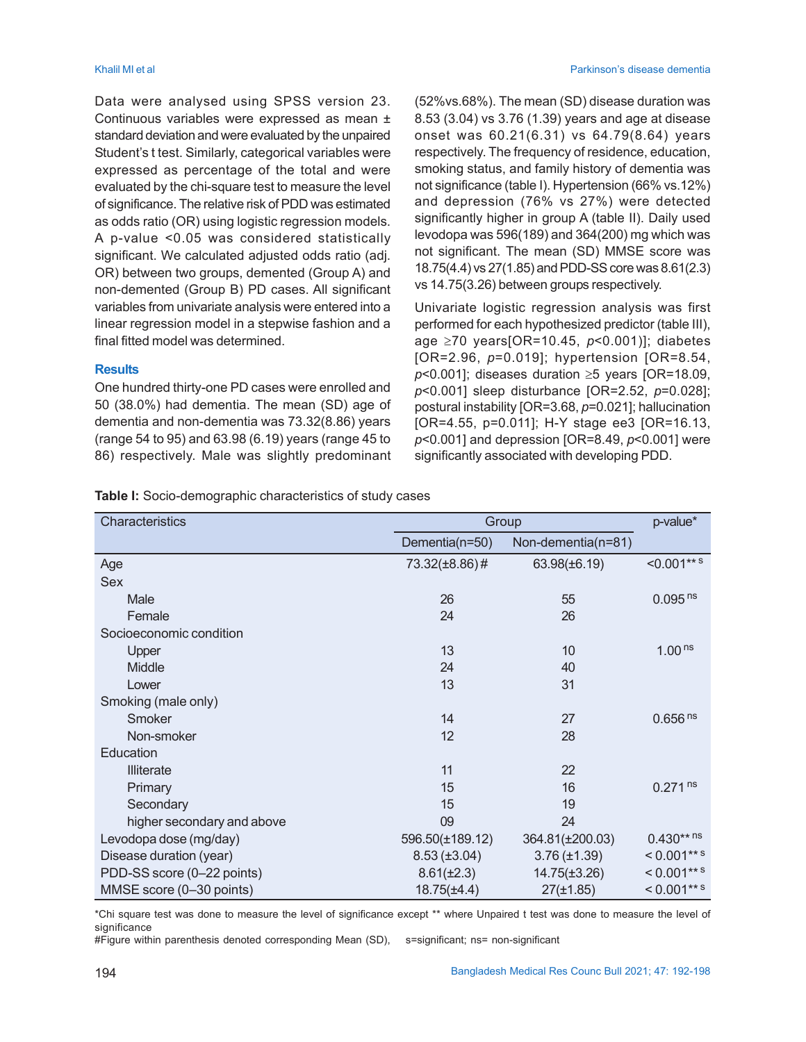Data were analysed using SPSS version 23. Continuous variables were expressed as mean ± standard deviation and were evaluated by the unpaired Student's t test. Similarly, categorical variables were expressed as percentage of the total and were evaluated by the chi-square test to measure the level of significance. The relative risk of PDD was estimated as odds ratio (OR) using logistic regression models. A p-value <0.05 was considered statistically significant. We calculated adjusted odds ratio (adj. OR) between two groups, demented (Group A) and non-demented (Group B) PD cases. All significant variables from univariate analysis were entered into a linear regression model in a stepwise fashion and a final fitted model was determined.

### **Results**

One hundred thirty-one PD cases were enrolled and 50 (38.0%) had dementia. The mean (SD) age of dementia and non-dementia was 73.32(8.86) years (range 54 to 95) and 63.98 (6.19) years (range 45 to 86) respectively. Male was slightly predominant (52%vs.68%). The mean (SD) disease duration was 8.53 (3.04) vs 3.76 (1.39) years and age at disease onset was 60.21(6.31) vs 64.79(8.64) years respectively. The frequency of residence, education, smoking status, and family history of dementia was not significance (table I). Hypertension (66% vs.12%) and depression (76% vs 27%) were detected significantly higher in group A (table II). Daily used levodopa was 596(189) and 364(200) mg which was not significant. The mean (SD) MMSE score was 18.75(4.4) vs 27(1.85) and PDD-SS core was 8.61(2.3) vs 14.75(3.26) between groups respectively.

Univariate logistic regression analysis was first performed for each hypothesized predictor (table III), age ³70 years[OR=10.45, *p*<0.001)]; diabetes [OR=2.96, *p*=0.019]; hypertension [OR=8.54,  $p$ <0.001]; diseases duration  $\geq$ 5 years [OR=18.09, *p*<0.001] sleep disturbance [OR=2.52, *p*=0.028]; postural instability [OR=3.68, *p*=0.021]; hallucination [OR=4.55, p=0.011]; H-Y stage ee3 [OR=16.13, *p*<0.001] and depression [OR=8.49, *p*<0.001] were significantly associated with developing PDD.

| Table I: Socio-demographic characteristics of study cases |  |
|-----------------------------------------------------------|--|
|-----------------------------------------------------------|--|

| Characteristics            | Group             | p-value*           |                       |
|----------------------------|-------------------|--------------------|-----------------------|
|                            | Dementia(n=50)    | Non-dementia(n=81) |                       |
| Age                        | 73.32(±8.86)#     | 63.98(±6.19)       | $< 0.001***$          |
| <b>Sex</b>                 |                   |                    |                       |
| Male                       | 26                | 55                 | $0.095$ <sup>ns</sup> |
| Female                     | 24                | 26                 |                       |
| Socioeconomic condition    |                   |                    |                       |
| Upper                      | 13                | 10                 | 1.00 <sup>ns</sup>    |
| Middle                     | 24                | 40                 |                       |
| Lower                      | 13                | 31                 |                       |
| Smoking (male only)        |                   |                    |                       |
| Smoker                     | 14                | 27                 | 0.656 <sup>ns</sup>   |
| Non-smoker                 | 12                | 28                 |                       |
| Education                  |                   |                    |                       |
| Illiterate                 | 11                | 22                 |                       |
| Primary                    | 15                | 16                 | $0.271$ <sup>ns</sup> |
| Secondary                  | 15                | 19                 |                       |
| higher secondary and above | 09                | 24                 |                       |
| Levodopa dose (mg/day)     | 596.50(±189.12)   | 364.81(±200.03)    | $0.430***$ ns         |
| Disease duration (year)    | $8.53 (\pm 3.04)$ | $3.76 (\pm 1.39)$  | $< 0.001***$          |
| PDD-SS score (0-22 points) | $8.61(\pm2.3)$    | $14.75(\pm 3.26)$  | $< 0.001***$          |
| MMSE score (0-30 points)   | $18.75(\pm 4.4)$  | $27(\pm 1.85)$     | $< 0.001***$          |

\*Chi square test was done to measure the level of significance except \*\* where Unpaired t test was done to measure the level of significance

#Figure within parenthesis denoted corresponding Mean (SD), s=significant; ns= non-significant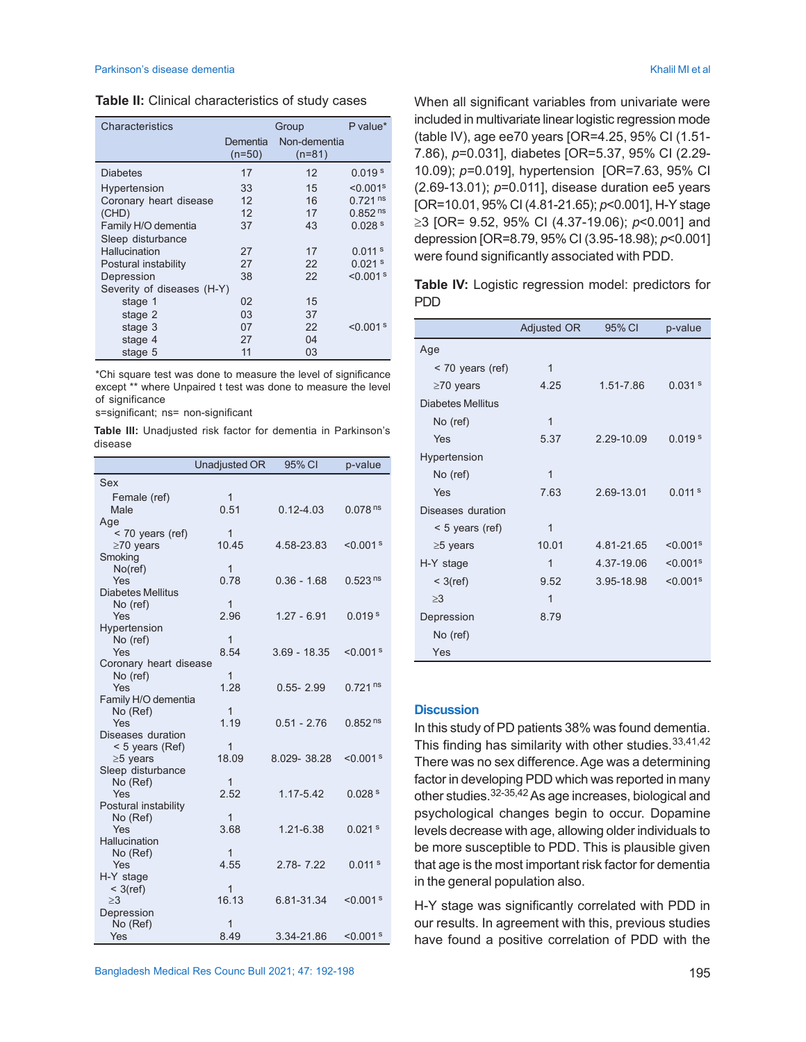| Table II: Clinical characteristics of study cases |  |  |  |
|---------------------------------------------------|--|--|--|
|---------------------------------------------------|--|--|--|

| Characteristics            | Group              |                          | P value*                  |
|----------------------------|--------------------|--------------------------|---------------------------|
|                            | Dementia<br>(n=50) | Non-dementia<br>$(n=81)$ |                           |
| Diabetes                   | 17                 | $12 \overline{ }$        | 0.019 <sup>s</sup>        |
| Hypertension               | 33                 | 15                       | $< 0.001$ <sup>s</sup>    |
| Coronary heart disease     | 12                 | 16                       | $0.721$ <sup>ns</sup>     |
| (CHD)                      | 12                 | 17                       | 0.852 <sup>ns</sup>       |
| Family H/O dementia        | 37                 | 43                       | 0.028 <sup>s</sup>        |
| Sleep disturbance          |                    |                          |                           |
| Hallucination              | 27                 | 17                       | $0.011$ s                 |
| Postural instability       | 27                 | 22                       | 0.021 <sup>s</sup>        |
| Depression                 | 38                 | 22                       | $< 0.001$ s               |
| Severity of diseases (H-Y) |                    |                          |                           |
| stage 1                    | 02                 | 15                       |                           |
| stage 2                    | 03                 | 37                       |                           |
| stage 3                    | 07                 | 22                       | $<$ 0.001 $^{\mathrm{s}}$ |
| stage 4                    | 27                 | 04                       |                           |
| stage 5                    | 11                 | 03                       |                           |

\*Chi square test was done to measure the level of significance except \*\* where Unpaired t test was done to measure the level of significance

s=significant; ns= non-significant

**Table III:** Unadjusted risk factor for dementia in Parkinson's disease

|                                  | Unadjusted OR  | 95% CI         | p-value               |
|----------------------------------|----------------|----------------|-----------------------|
| Sex                              |                |                |                       |
| Female (ref)                     | $\mathbf{1}$   |                |                       |
| Male                             | 0.51           | $0.12 - 4.03$  | 0.078 <sup>ns</sup>   |
| Age                              |                |                |                       |
| < 70 years (ref)                 | $\mathbf{1}$   |                |                       |
| $\geq$ 70 years                  | 10.45          | 4.58-23.83     | $< 0.001$ s           |
| Smoking                          |                |                |                       |
| $No$ (ref)                       | $\overline{1}$ |                |                       |
| Yes                              | 0.78           | $0.36 - 1.68$  | 0.523 <sup>ns</sup>   |
| <b>Diabetes Mellitus</b>         |                |                |                       |
| No (ref)                         | 1              |                |                       |
| Yes                              | 2.96           | $1.27 - 6.91$  | 0.019 <sup>s</sup>    |
| Hypertension<br>No (ref)         | $\overline{1}$ |                |                       |
| Yes                              | 8.54           | $3.69 - 18.35$ | $< 0.001$ s           |
| Coronary heart disease           |                |                |                       |
| No (ref)                         | 1              |                |                       |
| Yes                              | 1.28           | $0.55 - 2.99$  | $0.721$ <sup>ns</sup> |
| Family H/O dementia              |                |                |                       |
| No (Ref)                         | $\mathbf{1}$   |                |                       |
| Yes                              | 1.19           | $0.51 - 2.76$  | 0.852 <sup>ns</sup>   |
| Diseases duration                |                |                |                       |
| < 5 years (Ref)                  | 1              |                |                       |
| $\geq$ 5 years                   | 18 09          | 8.029-38.28    | $< 0.001$ s           |
| Sleep disturbance                |                |                |                       |
| No (Ref)                         | 1              |                |                       |
| Yes                              | 2.52           | 1.17-5.42      | 0.028 <sup>s</sup>    |
| Postural instability<br>No (Ref) | 1              |                |                       |
| Yes                              | 3.68           | 1.21-6.38      | $0.021$ s             |
| Hallucination                    |                |                |                       |
| No (Ref)                         | $\mathbf{1}$   |                |                       |
| Yes                              | 4.55           | $2.78 - 7.22$  | $0.011$ s             |
| H-Y stage                        |                |                |                       |
| $<$ 3(ref)                       | 1              |                |                       |
| >3                               | 16.13          | 6.81-31.34     | $< 0.001$ s           |
| Depression                       |                |                |                       |
| No (Ref)                         | $\overline{1}$ |                |                       |
| Yes                              | 8.49           | 3.34-21.86     | $< 0.001$ s           |

When all significant variables from univariate were included in multivariate linear logistic regression mode (table IV), age ee70 years [OR=4.25, 95% CI (1.51- 7.86), *p*=0.031], diabetes [OR=5.37, 95% CI (2.29- 10.09); *p*=0.019], hypertension [OR=7.63, 95% CI (2.69-13.01); *p*=0.011], disease duration ee5 years [OR=10.01, 95% CI (4.81-21.65); *p*<0.001], H-Y stage ≥3 [OR= 9.52, 95% CI (4.37-19.06); *p*<0.001] and depression [OR=8.79, 95% CI (3.95-18.98); *p*<0.001] were found significantly associated with PDD.

**Table IV:** Logistic regression model: predictors for PDD

|                          | <b>Adjusted OR</b> | 95% CI     | p-value                |
|--------------------------|--------------------|------------|------------------------|
| Age                      |                    |            |                        |
| $<$ 70 years (ref)       | $\overline{1}$     |            |                        |
| $\geq$ 70 years          | 4.25               | 1.51-7.86  | 0.031 <sup>s</sup>     |
| <b>Diabetes Mellitus</b> |                    |            |                        |
| No (ref)                 | 1                  |            |                        |
| Yes                      | 5.37               | 2.29-10.09 | 0.019 <sup>s</sup>     |
| Hypertension             |                    |            |                        |
| No (ref)                 | 1                  |            |                        |
| Yes                      | 7.63               | 2.69-13.01 | 0.011 <sup>s</sup>     |
| Diseases duration        |                    |            |                        |
| $<$ 5 years (ref)        | 1                  |            |                        |
| $\geq$ 5 years           | 10.01              | 4.81-21.65 | $< 0.001$ <sup>s</sup> |
| H-Y stage                | $\overline{1}$     | 4.37-19.06 | $< 0.001$ <sup>s</sup> |
| $<$ 3(ref)               | 9.52               | 3.95-18.98 | $< 0.001$ <sup>s</sup> |
| >3                       | 1                  |            |                        |
| Depression               | 8.79               |            |                        |
| No (ref)                 |                    |            |                        |
| Yes                      |                    |            |                        |

### **Discussion**

In this study of PD patients 38% was found dementia. This finding has similarity with other studies.<sup>33,41,42</sup> There was no sex difference. Age was a determining factor in developing PDD which was reported in many other studies.32-35,42As age increases, biological and psychological changes begin to occur. Dopamine levels decrease with age, allowing older individuals to be more susceptible to PDD. This is plausible given that age is the most important risk factor for dementia in the general population also.

H-Y stage was significantly correlated with PDD in our results. In agreement with this, previous studies have found a positive correlation of PDD with the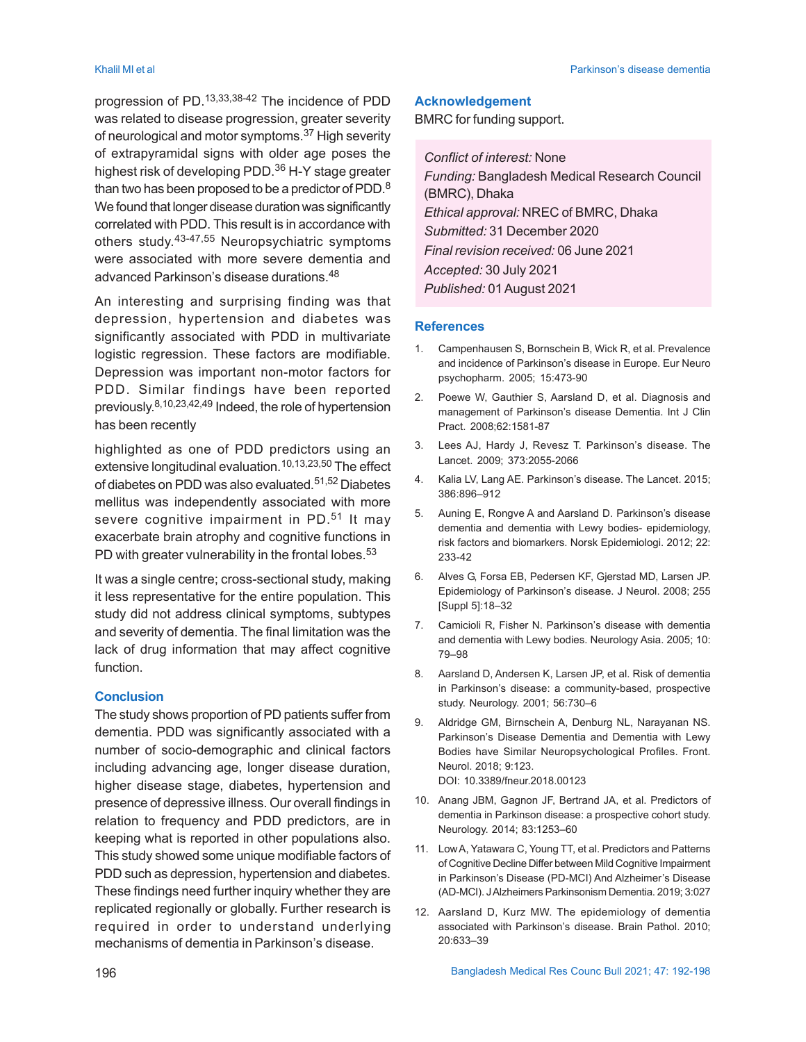progression of PD.13,33,38-42 The incidence of PDD was related to disease progression, greater severity of neurological and motor symptoms.37 High severity of extrapyramidal signs with older age poses the highest risk of developing PDD.<sup>36</sup> H-Y stage greater than two has been proposed to be a predictor of PDD.<sup>8</sup> We found that longer disease duration was significantly correlated with PDD. This result is in accordance with others study. 43-47,55 Neuropsychiatric symptoms were associated with more severe dementia and advanced Parkinson's disease durations.<sup>48</sup>

An interesting and surprising finding was that depression, hypertension and diabetes was significantly associated with PDD in multivariate logistic regression. These factors are modifiable. Depression was important non-motor factors for PDD. Similar findings have been reported previously. 8,10,23,42,49 Indeed, the role of hypertension has been recently

highlighted as one of PDD predictors using an extensive longitudinal evaluation.10,13,23,50 The effect of diabetes on PDD was also evaluated.51,52 Diabetes mellitus was independently associated with more severe cognitive impairment in PD.<sup>51</sup> It may exacerbate brain atrophy and cognitive functions in PD with greater vulnerability in the frontal lobes.  $53$ 

It was a single centre; cross-sectional study, making it less representative for the entire population. This study did not address clinical symptoms, subtypes and severity of dementia. The final limitation was the lack of drug information that may affect cognitive function.

### **Conclusion**

The study shows proportion of PD patients suffer from dementia. PDD was significantly associated with a number of socio-demographic and clinical factors including advancing age, longer disease duration, higher disease stage, diabetes, hypertension and presence of depressive illness. Our overall findings in relation to frequency and PDD predictors, are in keeping what is reported in other populations also. This study showed some unique modifiable factors of PDD such as depression, hypertension and diabetes. These findings need further inquiry whether they are replicated regionally or globally. Further research is required in order to understand underlying mechanisms of dementia in Parkinson's disease.

#### **Acknowledgement**

BMRC for funding support.

*Conflict of interest:* None *Funding:* Bangladesh Medical Research Council (BMRC), Dhaka *Ethical approval:* NREC of BMRC, Dhaka *Submitted:* 31 December 2020 *Final revision received:* 06 June 2021 *Accepted:* 30 July 2021 *Published:* 01August 2021

#### **References**

- 1. Campenhausen S, Bornschein B, Wick R, et al. Prevalence and incidence of Parkinson's disease in Europe. Eur Neuro psychopharm. 2005; 15:473-90
- 2. Poewe W, Gauthier S, Aarsland D, et al. Diagnosis and management of Parkinson's disease Dementia. Int J Clin Pract. 2008;62:1581-87
- 3. Lees AJ, Hardy J, Revesz T. Parkinson's disease. The Lancet. 2009; 373:2055-2066
- 4. Kalia LV, Lang AE. Parkinson's disease. The Lancet*.* 2015; 386:896–912
- 5. Auning E, Rongve A and Aarsland D. Parkinson's disease dementia and dementia with Lewy bodies- epidemiology, risk factors and biomarkers. Norsk Epidemiologi. 2012; 22: 233-42
- 6. Alves G, Forsa EB, Pedersen KF, Gjerstad MD, Larsen JP. Epidemiology of Parkinson's disease. J Neurol. 2008; 255 [Suppl 5]:18–32
- 7. Camicioli R, Fisher N. Parkinson's disease with dementia and dementia with Lewy bodies. Neurology Asia. 2005; 10: 79–98
- 8. Aarsland D, Andersen K, Larsen JP, et al. Risk of dementia in Parkinson's disease: a community-based, prospective study. Neurology. 2001; 56:730–6
- 9. Aldridge GM, Birnschein A, Denburg NL, Narayanan NS. Parkinson's Disease Dementia and Dementia with Lewy Bodies have Similar Neuropsychological Profiles. Front. Neurol. 2018; 9:123. DOI: 10.3389/fneur.2018.00123
- 10. Anang JBM, Gagnon JF, Bertrand JA, et al. Predictors of dementia in Parkinson disease: a prospective cohort study. Neurology. 2014; 83:1253–60
- 11. Low A, Yatawara C, Young TT, et al. Predictors and Patterns of Cognitive Decline Differ between Mild Cognitive Impairment in Parkinson's Disease (PD-MCI) And Alzheimer's Disease (AD-MCI). J Alzheimers Parkinsonism Dementia. 2019; 3:027
- 12. Aarsland D, Kurz MW. The epidemiology of dementia associated with Parkinson's disease. Brain Pathol. 2010; 20:633–39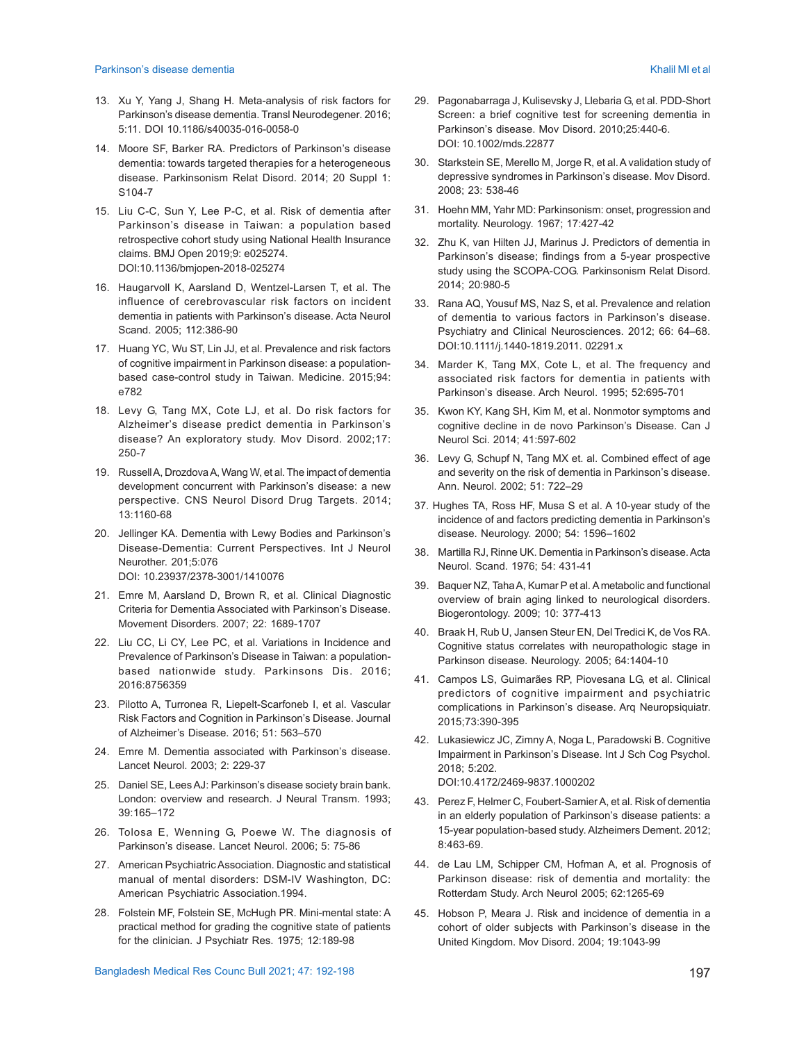- 13. Xu Y, Yang J, Shang H. Meta-analysis of risk factors for Parkinson's disease dementia. Transl Neurodegener. 2016; 5:11. DOI 10.1186/s40035-016-0058-0
- 14. Moore SF, Barker RA. Predictors of Parkinson's disease dementia: towards targeted therapies for a heterogeneous disease. Parkinsonism Relat Disord. 2014; 20 Suppl 1: S104-7
- 15. Liu C-C, Sun Y, Lee P-C, et al. Risk of dementia after Parkinson's disease in Taiwan: a population based retrospective cohort study using National Health Insurance claims. BMJ Open 2019;9: e025274. DOI:10.1136/bmjopen-2018-025274
- 16. Haugarvoll K, Aarsland D, Wentzel-Larsen T, et al. The influence of cerebrovascular risk factors on incident dementia in patients with Parkinson's disease. Acta Neurol Scand. 2005; 112:386-90
- 17. Huang YC, Wu ST, Lin JJ, et al. Prevalence and risk factors of cognitive impairment in Parkinson disease: a populationbased case-control study in Taiwan. Medicine. 2015;94: e782
- 18. Levy G, Tang MX, Cote LJ, et al. Do risk factors for Alzheimer's disease predict dementia in Parkinson's disease? An exploratory study. Mov Disord. 2002;17: 250-7
- 19. Russell A, Drozdova A, Wang W, et al. The impact of dementia development concurrent with Parkinson's disease: a new perspective. CNS Neurol Disord Drug Targets. 2014; 13:1160-68
- 20. Jellinger KA. Dementia with Lewy Bodies and Parkinson's Disease-Dementia: Current Perspectives. Int J Neurol Neurother. 201;5:076 DOI: 10.23937/2378-3001/1410076
- 21. Emre M, Aarsland D, Brown R, et al. Clinical Diagnostic Criteria for Dementia Associated with Parkinson's Disease. Movement Disorders. 2007; 22: 1689-1707
- 22. Liu CC, Li CY, Lee PC, et al. Variations in Incidence and Prevalence of Parkinson's Disease in Taiwan: a populationbased nationwide study. Parkinsons Dis. 2016; 2016:8756359
- 23. Pilotto A, Turronea R, Liepelt-Scarfoneb I, et al. Vascular Risk Factors and Cognition in Parkinson's Disease. Journal of Alzheimer's Disease. 2016; 51: 563–570
- 24. Emre M. Dementia associated with Parkinson's disease. Lancet Neurol. 2003; 2: 229-37
- 25. Daniel SE, Lees AJ: Parkinson's disease society brain bank. London: overview and research. J Neural Transm. 1993; 39:165–172
- 26. Tolosa E, Wenning G, Poewe W. The diagnosis of Parkinson's disease. Lancet Neurol. 2006; 5: 75-86
- 27. American Psychiatric Association. Diagnostic and statistical manual of mental disorders: DSM-IV Washington, DC: American Psychiatric Association.1994.
- 28. Folstein MF, Folstein SE, McHugh PR. Mini-mental state: A practical method for grading the cognitive state of patients for the clinician. J Psychiatr Res. 1975; 12:189-98
- 29. Pagonabarraga J, Kulisevsky J, Llebaria G, et al. PDD-Short Screen: a brief cognitive test for screening dementia in Parkinson's disease. Mov Disord. 2010;25:440-6. DOI: 10.1002/mds.22877
- 30. Starkstein SE, Merello M, Jorge R, et al. A validation study of depressive syndromes in Parkinson's disease. Mov Disord. 2008; 23: 538-46
- 31. Hoehn MM, Yahr MD: Parkinsonism: onset, progression and mortality. Neurology. 1967; 17:427-42
- 32. Zhu K, van Hilten JJ, Marinus J. Predictors of dementia in Parkinson's disease; findings from a 5-year prospective study using the SCOPA-COG. Parkinsonism Relat Disord. 2014; 20:980-5
- 33. Rana AQ, Yousuf MS, Naz S, et al. Prevalence and relation of dementia to various factors in Parkinson's disease. Psychiatry and Clinical Neurosciences. 2012; 66: 64–68. DOI:10.1111/j.1440-1819.2011. 02291.x
- 34. Marder K, Tang MX, Cote L, et al. The frequency and associated risk factors for dementia in patients with Parkinson's disease. Arch Neurol. 1995; 52:695-701
- 35. Kwon KY, Kang SH, Kim M, et al. Nonmotor symptoms and cognitive decline in de novo Parkinson's Disease. Can J Neurol Sci. 2014; 41:597-602
- 36. Levy G, Schupf N, Tang MX et. al. Combined effect of age and severity on the risk of dementia in Parkinson's disease. Ann. Neurol. 2002; 51: 722–29
- 37. Hughes TA, Ross HF, Musa S et al. A 10-year study of the incidence of and factors predicting dementia in Parkinson's disease. Neurology. 2000; 54: 1596–1602
- 38. Martilla RJ, Rinne UK. Dementia in Parkinson's disease. Acta Neurol. Scand. 1976; 54: 431-41
- 39. Baquer NZ, Taha A, Kumar P et al. A metabolic and functional overview of brain aging linked to neurological disorders. Biogerontology. 2009; 10: 377-413
- 40. Braak H, Rub U, Jansen Steur EN, Del Tredici K, de Vos RA. Cognitive status correlates with neuropathologic stage in Parkinson disease. Neurology. 2005; 64:1404-10
- 41. Campos LS, Guimarães RP, Piovesana LG, et al. Clinical predictors of cognitive impairment and psychiatric complications in Parkinson's disease. Arq Neuropsiquiatr. 2015;73:390-395
- 42. Lukasiewicz JC, Zimny A, Noga L, Paradowski B. Cognitive Impairment in Parkinson's Disease. Int J Sch Cog Psychol. 2018; 5:202. DOI:10.4172/2469-9837.1000202
- 43. Perez F, Helmer C, Foubert-Samier A, et al. Risk of dementia in an elderly population of Parkinson's disease patients: a 15-year population-based study. Alzheimers Dement. 2012; 8:463-69.
- 44. de Lau LM, Schipper CM, Hofman A, et al. Prognosis of Parkinson disease: risk of dementia and mortality: the Rotterdam Study. Arch Neurol 2005; 62:1265-69
- 45. Hobson P, Meara J. Risk and incidence of dementia in a cohort of older subjects with Parkinson's disease in the United Kingdom. Mov Disord. 2004; 19:1043-99